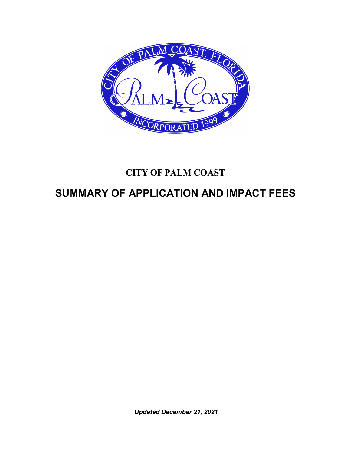

# **CITY OF PALM COAST**

# **SUMMARY OF APPLICATION AND IMPACT FEES**

*Updated December 21, 2021*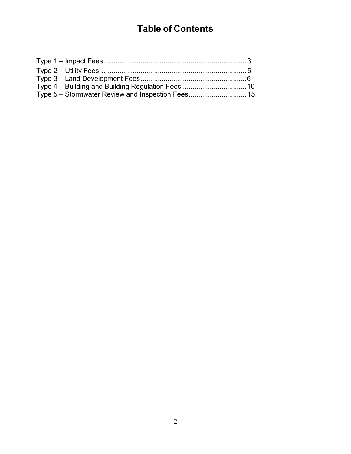# **Table of Contents**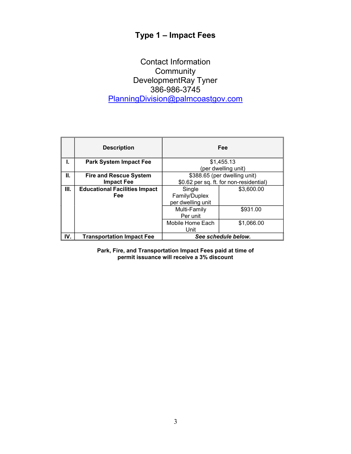## **Type 1 – Impact Fees**

## Contact Information **Community** DevelopmentRay Tyner 386-986-3745 [PlanningDivision@palmcoastgov.com](mailto:PlanningDivision@palmcoastgov.com)

|     | <b>Description</b>                   |                                         | Fee                 |
|-----|--------------------------------------|-----------------------------------------|---------------------|
| L.  | <b>Park System Impact Fee</b>        |                                         | \$1,455.13          |
|     |                                      |                                         | (per dwelling unit) |
| Ш.  | <b>Fire and Rescue System</b>        | \$388.65 (per dwelling unit)            |                     |
|     | <b>Impact Fee</b>                    | \$0.62 per sq. ft. for non-residential) |                     |
| Ш.  | <b>Educational Facilities Impact</b> | Single                                  | \$3,600.00          |
|     | Fee                                  | Family/Duplex                           |                     |
|     |                                      | per dwelling unit                       |                     |
|     |                                      | Multi-Family                            | \$931.00            |
|     |                                      | Per unit                                |                     |
|     |                                      | Mobile Home Each                        | \$1,066.00          |
|     |                                      | Unit                                    |                     |
| IV. | <b>Transportation Impact Fee</b>     | See schedule below.                     |                     |

**Park, Fire, and Transportation Impact Fees paid at time of permit issuance will receive a 3% discount**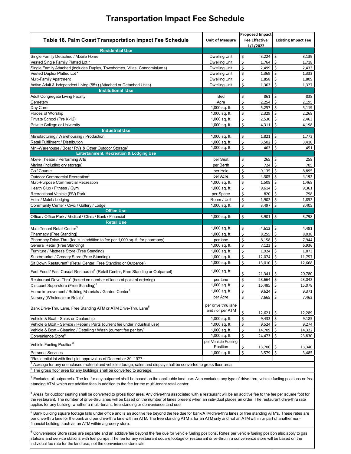#### **Transportation Impact Fee Schedule**

|                                                                                                                                                                                                                                                                                                                                        |                                 | <b>Proposed Impact</b>           |                            |
|----------------------------------------------------------------------------------------------------------------------------------------------------------------------------------------------------------------------------------------------------------------------------------------------------------------------------------------|---------------------------------|----------------------------------|----------------------------|
| <b>Table 18. Palm Coast Transportation Impact Fee Schedule</b>                                                                                                                                                                                                                                                                         | <b>Unit of Measure</b>          | <b>Fee Effective</b><br>1/1/2022 | <b>Existing Impact Fee</b> |
| <b>Residential Use</b>                                                                                                                                                                                                                                                                                                                 |                                 |                                  |                            |
| Single Family Detached / Mobile Home                                                                                                                                                                                                                                                                                                   | <b>Dwelling Unit</b>            | \$<br>3,224                      | \$<br>3,139                |
| Vested Single Family Platted Lot *                                                                                                                                                                                                                                                                                                     | <b>Dwelling Unit</b>            | \$<br>1,764                      | Ś<br>1,718                 |
| Single Family Attached (includes Duplex, Townhomes, Villas, Condominiums)                                                                                                                                                                                                                                                              | <b>Dwelling Unit</b>            | \$<br>2,499                      | \$<br>2,433                |
| Vested Duplex Platted Lot*                                                                                                                                                                                                                                                                                                             | <b>Dwelling Unit</b>            | \$<br>1,369                      | Ś.<br>1,333                |
| Multi-Family Apartment                                                                                                                                                                                                                                                                                                                 | <b>Dwelling Unit</b>            | \$<br>1,858                      | Ś<br>1,809                 |
| Active Adult & Independent Living (55+) (Attached or Detached Units)                                                                                                                                                                                                                                                                   | <b>Dwelling Unit</b>            | \$<br>1,363                      | \$<br>1,327                |
| <b>Institutional Use</b>                                                                                                                                                                                                                                                                                                               |                                 |                                  |                            |
| Adult Congregate Living Facility                                                                                                                                                                                                                                                                                                       | Bed                             | \$<br>861                        | \$<br>838                  |
| Cemetery                                                                                                                                                                                                                                                                                                                               | Acre                            | \$<br>2,254                      | \$<br>2,195                |
| Day Care                                                                                                                                                                                                                                                                                                                               | 1,000 sq. ft.                   | \$<br>5,257                      | \$<br>5,119                |
| Places of Worship                                                                                                                                                                                                                                                                                                                      | 1,000 sq. ft.                   | \$<br>2,329                      | \$<br>2,268                |
| Private School (Pre K-12)                                                                                                                                                                                                                                                                                                              | 1,000 sq. ft.                   | \$<br>2,530                      | \$<br>2,463                |
| Private College or University                                                                                                                                                                                                                                                                                                          | 1,000 sq. ft.                   | \$<br>4,311                      | \$<br>4,198                |
| <b>Industrial Use</b>                                                                                                                                                                                                                                                                                                                  |                                 |                                  |                            |
|                                                                                                                                                                                                                                                                                                                                        |                                 |                                  |                            |
| Manufacturing / Warehousing / Production                                                                                                                                                                                                                                                                                               | 1,000 sq. ft.                   | \$<br>1,821                      | \$<br>1,773                |
| Retail Fulfillment / Distribution                                                                                                                                                                                                                                                                                                      | 1,000 sq. ft.                   | \$<br>3,502                      | \$<br>3,410                |
| Mini-Warehouse / Boat / RVs & Other Outdoor Storage <sup>1</sup>                                                                                                                                                                                                                                                                       | 1,000 sq. ft.                   | \$<br>463                        | \$<br>451                  |
| <b>Entertainment, Recreation &amp; Lodging Use</b>                                                                                                                                                                                                                                                                                     |                                 |                                  |                            |
| Movie Theater / Performing Arts                                                                                                                                                                                                                                                                                                        | per Seat                        | \$<br>265                        | \$<br>258                  |
| Marina (including dry storage)                                                                                                                                                                                                                                                                                                         | per Berth                       | \$<br>724                        | \$<br>705                  |
| <b>Golf Course</b>                                                                                                                                                                                                                                                                                                                     | per Hole                        | \$<br>9,135                      | \$<br>8,895                |
| Outdoor Commercial Recreation <sup>2</sup>                                                                                                                                                                                                                                                                                             | per Acre                        | \$<br>4,305                      | \$<br>4,192                |
| Multi-Purpose Commercial Recreation                                                                                                                                                                                                                                                                                                    | 1,000 sq. ft.                   | \$<br>1,508                      | Ś<br>1,468                 |
| Health Club / Fitness / Gym                                                                                                                                                                                                                                                                                                            | 1,000 sq. ft.                   | \$<br>9,614                      | \$<br>9,361                |
| Recreational Vehicle (RV) Park                                                                                                                                                                                                                                                                                                         | per Space                       | \$<br>820                        | Ś.<br>798                  |
| Hotel / Motel / Lodging                                                                                                                                                                                                                                                                                                                | Room / Unit                     | \$<br>1,902                      | \$<br>1,852                |
| Community Center / Civic / Gallery / Lodge                                                                                                                                                                                                                                                                                             | 1,000 sq. ft.                   | \$<br>3,497                      | \$<br>3,405                |
| <b>Office Use</b>                                                                                                                                                                                                                                                                                                                      |                                 |                                  |                            |
| Office / Office Park / Medical / Clinic / Bank / Financial                                                                                                                                                                                                                                                                             | 1,000 sq. ft.                   | \$<br>3,901                      | \$<br>3,798                |
| <b>Retail Use</b>                                                                                                                                                                                                                                                                                                                      |                                 |                                  |                            |
| Multi-Tenant Retail Center <sup>3</sup>                                                                                                                                                                                                                                                                                                | 1,000 sq. ft.                   | \$<br>4,612                      | \$<br>4,491                |
| Pharmacy (Free Standing)                                                                                                                                                                                                                                                                                                               | 1,000 sq. ft.                   | \$<br>$8,255$ $\sqrt{5}$         | 8,038                      |
| Pharmacy Drive-Thru (fee is in addition to fee per 1,000 sq. ft. for pharmacy)                                                                                                                                                                                                                                                         | per lane                        | \$<br>$8,158$ \$                 | 7,944                      |
| General Retail (Free Standing)                                                                                                                                                                                                                                                                                                         | 1,000 sq. ft.                   | \$<br>7,123                      | \$<br>6,936                |
| Furniture / Mattress Store (Free Standing)                                                                                                                                                                                                                                                                                             | 1,000 sq. ft.                   | \$<br>1,924                      | \$<br>1,873                |
| Supermarket / Grocery Store (Free Standing)                                                                                                                                                                                                                                                                                            | $1,000$ sq. ft.                 | \$<br>12,074                     | \$<br>11,757               |
|                                                                                                                                                                                                                                                                                                                                        | $1,000$ sq. ft.                 |                                  |                            |
| Sit Down Restaurant <sup>4</sup> (Retail Center, Free Standing or Outparcel)                                                                                                                                                                                                                                                           |                                 | \$<br>13,010                     | \$<br>12,668               |
| Fast Food / Fast Casual Restaurant <sup>4</sup> (Retail Center, Free Standing or Outparcel)                                                                                                                                                                                                                                            | 1,000 sq. ft.                   | \$<br>21,341                     | \$<br>20,780               |
| Restaurant Drive-Thru <sup>4</sup> (based on number of lanes at point of ordering)                                                                                                                                                                                                                                                     | per lane                        | \$<br>23,664                     | \$<br>23,042               |
| Discount Superstore (Free Standing) <sup>1</sup>                                                                                                                                                                                                                                                                                       | $1,000$ sq. ft.                 | \$<br>15,485                     | $\mathsf{S}$<br>15,078     |
|                                                                                                                                                                                                                                                                                                                                        | 1,000 sq. ft.                   | \$<br>9,624                      | \$<br>9,371                |
| Home Improvement / Building Materials / Garden Center                                                                                                                                                                                                                                                                                  |                                 | \$                               | \$                         |
| Nursery (Wholesale or Retail) <sup>2</sup>                                                                                                                                                                                                                                                                                             | per Acre                        | 7,665                            | 7,463                      |
| Bank Drive-Thru Lane, Free Standing ATM or ATM Drive-Thru Lane <sup>5</sup>                                                                                                                                                                                                                                                            | per drive thru lane             |                                  |                            |
|                                                                                                                                                                                                                                                                                                                                        | and / or per ATM                | \$<br>$12,621$   \$              | 12,289                     |
| Vehicle & Boat - Sales or Dealership                                                                                                                                                                                                                                                                                                   | $1,000$ sq. ft.                 | \$<br>9,433                      | \$<br>9,185                |
| Vehicle & Boat - Service / Repair / Parts (current fee under industrial use)                                                                                                                                                                                                                                                           | 1,000 sq. ft.                   | \$<br>$9,524$ \$                 | 9,274                      |
| Vehicle & Boat - Cleaning / Detailing / Wash (current fee per bay)                                                                                                                                                                                                                                                                     | 1,000 sq. ft.                   | \$                               | \$                         |
|                                                                                                                                                                                                                                                                                                                                        | 1,000 sq. ft.                   | 14,709                           | 14,322                     |
| Convenience Store <sup>6</sup>                                                                                                                                                                                                                                                                                                         |                                 | \$<br>24,473                     | \$<br>23,830               |
| Vehicle Fueling Position <sup>6</sup>                                                                                                                                                                                                                                                                                                  | per Vehicle Fueling<br>Position | \$<br>13,700                     | \$.<br>13,340              |
| <b>Personal Services</b>                                                                                                                                                                                                                                                                                                               | 1,000 sq. ft.                   | \$<br>3,579                      | \$<br>3,485                |
| *Residential lot with final plat approval as of December 30, 1977.                                                                                                                                                                                                                                                                     |                                 |                                  |                            |
| Acreage for any unenclosed material and vehicle storage, sales and display shall be converted to gross floor area                                                                                                                                                                                                                      |                                 |                                  |                            |
| The gross floor area for any buildings shall be converted to acreage.                                                                                                                                                                                                                                                                  |                                 |                                  |                            |
| Excludes all outparcels. The fee for any outparcel shall be based on the applicable land use. Also excludes any type of drive-thru, vehicle fueling positions or free-                                                                                                                                                                 |                                 |                                  |                            |
| standing ATM, which are additive fees in addition to the fee for the multi-tenant retail center.                                                                                                                                                                                                                                       |                                 |                                  |                            |
| Areas for outdoor seating shall be converted to gross floor area. Any drive-thru associated with a restaurant will be an additive fee to the fee per square foot for<br>the restaurant. The number of drive-thru lanes will be based on the number of lanes present when an individual places an order. The restaurant drive-thru rate |                                 |                                  |                            |

applies for any building, whether a multi-tenant, free standing or convenience land use.

per drive-thru lane for the bank and per drive-thru lane with an ATM. The free standing ATM is for an ATM only and not an ATM within or part of another non-<br>financial building, such as an ATM within a grocery store.  $^{\rm 5}$  Bank building square footage falls under office and is an additive fee beyond the fee due for bank/ATM drive-thru lanes or free standing ATM's. These rates are financial building, such as an ATM within a grocery store.

 $^6$  Convenience Store rates are separate and an additive fee beyond the fee due for vehicle fueling positions. Rates per vehicle fueling position also apply to gas stations and service stations with fuel pumps. The fee for any restaurant square footage or restaurant drive-thru in a convenience store will be based on the individual fee rate for the land use, not the convenience store rate.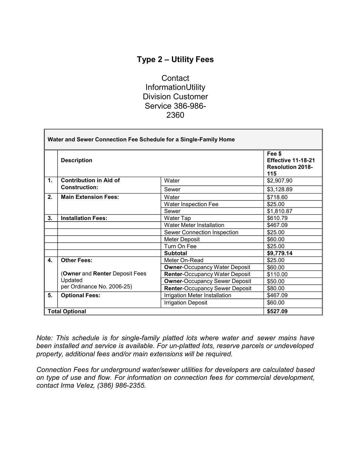## **Type 2 – Utility Fees**

**Contact** InformationUtility Division Customer Service 386-986- [2360](mailto:Customer-service@palmcoastgov.com)

| Water and Sewer Connection Fee Schedule for a Single-Family Home |                                |                                       |                                                                |
|------------------------------------------------------------------|--------------------------------|---------------------------------------|----------------------------------------------------------------|
|                                                                  | <b>Description</b>             |                                       | Fee \$<br>Effective 11-18-21<br><b>Resolution 2018-</b><br>115 |
| $\mathbf{1}$ .                                                   | <b>Contribution in Aid of</b>  | Water                                 | \$2,907.90                                                     |
|                                                                  | <b>Construction:</b>           | Sewer                                 | \$3,128.89                                                     |
| 2.                                                               | <b>Main Extension Fees:</b>    | Water                                 | \$718.60                                                       |
|                                                                  |                                | Water Inspection Fee                  | \$25.00                                                        |
|                                                                  |                                | Sewer                                 | \$1,810.87                                                     |
| 3.                                                               | <b>Installation Fees:</b>      | Water Tap                             | \$610.79                                                       |
|                                                                  |                                | <b>Water Meter Installation</b>       | \$467.09                                                       |
|                                                                  |                                | Sewer Connection Inspection           | \$25.00                                                        |
|                                                                  |                                | <b>Meter Deposit</b>                  | \$60.00                                                        |
|                                                                  |                                | Turn On Fee                           | \$25.00                                                        |
|                                                                  |                                | <b>Subtotal</b>                       | \$9,779.14                                                     |
| 4.                                                               | <b>Other Fees:</b>             | Meter On-Read                         | \$25.00                                                        |
|                                                                  |                                | <b>Owner-Occupancy Water Deposit</b>  | \$60.00                                                        |
|                                                                  | (Owner and Renter Deposit Fees | <b>Renter-Occupancy Water Deposit</b> | \$110.00                                                       |
|                                                                  | Updated                        | <b>Owner-Occupancy Sewer Deposit</b>  | \$50.00                                                        |
|                                                                  | per Ordinance No. 2006-25)     | <b>Renter-Occupancy Sewer Deposit</b> | \$80.00                                                        |
| 5.                                                               | <b>Optional Fees:</b>          | Irrigation Meter Installation         | \$467.09                                                       |
|                                                                  |                                | <b>Irrigation Deposit</b>             | \$60.00                                                        |
|                                                                  | <b>Total Optional</b>          |                                       | \$527.09                                                       |

*Note: This schedule is for single-family platted lots where water and sewer mains have been installed and service is available. For un-platted lots, reserve parcels or undeveloped property, additional fees and/or main extensions will be required.*

*Connection Fees for underground water/sewer utilities for developers are calculated based on type of use and flow. For information on connection fees for commercial development, contact Irma Velez, (386) 986-2355.*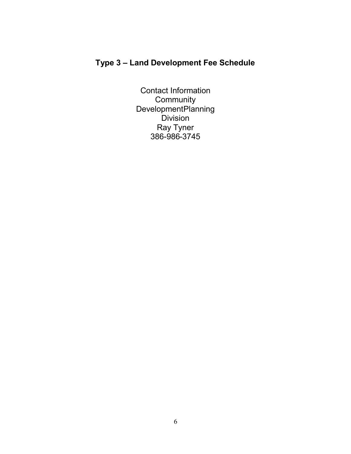## **Type 3 – Land Development Fee Schedule**

Contact Information **Community** DevelopmentPlanning **Division** Ray Tyner 386-986-3745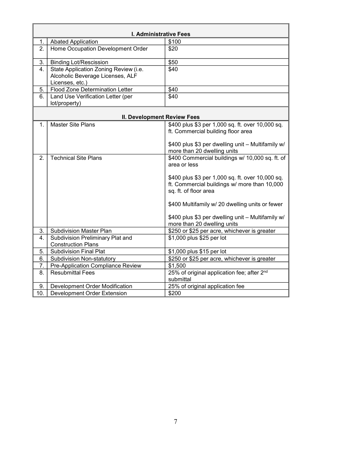|                | I. Administrative Fees                                                                       |                                                                                                                                                                                                                                                                                                                                     |  |  |  |
|----------------|----------------------------------------------------------------------------------------------|-------------------------------------------------------------------------------------------------------------------------------------------------------------------------------------------------------------------------------------------------------------------------------------------------------------------------------------|--|--|--|
| 1.             | <b>Abated Application</b>                                                                    | \$100                                                                                                                                                                                                                                                                                                                               |  |  |  |
| 2.             | Home Occupation Development Order                                                            | \$20                                                                                                                                                                                                                                                                                                                                |  |  |  |
| 3.             | <b>Binding Lot/Rescission</b>                                                                | \$50                                                                                                                                                                                                                                                                                                                                |  |  |  |
| 4.             | State Application Zoning Review (i.e.<br>Alcoholic Beverage Licenses, ALF<br>Licenses, etc.) | \$40                                                                                                                                                                                                                                                                                                                                |  |  |  |
| 5.             | <b>Flood Zone Determination Letter</b>                                                       | \$40                                                                                                                                                                                                                                                                                                                                |  |  |  |
| 6.             | Land Use Verification Letter (per<br>lot/property)                                           | \$40                                                                                                                                                                                                                                                                                                                                |  |  |  |
|                | II. Development Review Fees                                                                  |                                                                                                                                                                                                                                                                                                                                     |  |  |  |
| $\mathbf{1}$ . | <b>Master Site Plans</b>                                                                     | \$400 plus \$3 per 1,000 sq. ft. over 10,000 sq.<br>ft. Commercial building floor area<br>\$400 plus \$3 per dwelling unit - Multifamily w/<br>more than 20 dwelling units                                                                                                                                                          |  |  |  |
| 2.             | <b>Technical Site Plans</b>                                                                  | \$400 Commercial buildings w/ 10,000 sq. ft. of<br>area or less<br>\$400 plus \$3 per 1,000 sq. ft. over 10,000 sq.<br>ft. Commercial buildings w/ more than 10,000<br>sq. ft. of floor area<br>\$400 Multifamily w/ 20 dwelling units or fewer<br>\$400 plus \$3 per dwelling unit - Multifamily w/<br>more than 20 dwelling units |  |  |  |
| 3.             | <b>Subdivision Master Plan</b>                                                               | \$250 or \$25 per acre, whichever is greater                                                                                                                                                                                                                                                                                        |  |  |  |
| 4.             | Subdivision Preliminary Plat and<br><b>Construction Plans</b>                                | \$1,000 plus \$25 per lot                                                                                                                                                                                                                                                                                                           |  |  |  |
| 5.             | <b>Subdivision Final Plat</b>                                                                | \$1,000 plus \$15 per lot                                                                                                                                                                                                                                                                                                           |  |  |  |
| 6.             | <b>Subdivision Non-statutory</b>                                                             | \$250 or \$25 per acre, whichever is greater                                                                                                                                                                                                                                                                                        |  |  |  |
| 7.             | Pre-Application Compliance Review                                                            | \$1,500                                                                                                                                                                                                                                                                                                                             |  |  |  |
| 8.             | <b>Resubmittal Fees</b>                                                                      | 25% of original application fee; after 2 <sup>nd</sup><br>submittal                                                                                                                                                                                                                                                                 |  |  |  |
| 9.             | 25% of original application fee<br>Development Order Modification                            |                                                                                                                                                                                                                                                                                                                                     |  |  |  |
| 10.            | Development Order Extension                                                                  | \$200                                                                                                                                                                                                                                                                                                                               |  |  |  |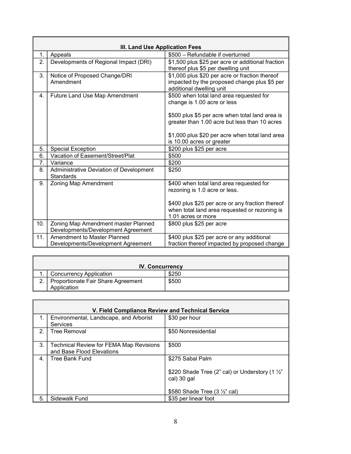|     | III. Land Use Application Fees                                            |                                                                                                                            |  |  |  |
|-----|---------------------------------------------------------------------------|----------------------------------------------------------------------------------------------------------------------------|--|--|--|
| 1.  | Appeals                                                                   | \$500 - Refundable if overturned                                                                                           |  |  |  |
| 2.  | Developments of Regional Impact (DRI)                                     | \$1,500 plus \$25 per acre or additional fraction<br>thereof plus \$5 per dwelling unit                                    |  |  |  |
| 3.  | Notice of Proposed Change/DRI<br>Amendment                                | \$1,000 plus \$20 per acre or fraction thereof<br>impacted by the proposed change plus \$5 per<br>additional dwelling unit |  |  |  |
| 4.  | Future Land Use Map Amendment                                             | \$500 when total land area requested for<br>change is 1.00 acre or less                                                    |  |  |  |
|     |                                                                           | \$500 plus \$5 per acre when total land area is<br>greater than 1.00 acre but less than 10 acres                           |  |  |  |
|     |                                                                           | \$1,000 plus \$20 per acre when total land area<br>is 10.00 acres or greater                                               |  |  |  |
| 5.  | <b>Special Exception</b>                                                  | \$200 plus \$25 per acre                                                                                                   |  |  |  |
| 6.  | Vacation of Easement/Street/Plat                                          | \$500                                                                                                                      |  |  |  |
| 7.  | Variance                                                                  | \$200                                                                                                                      |  |  |  |
| 8.  | Administrative Deviation of Development<br><b>Standards</b>               | \$250                                                                                                                      |  |  |  |
| 9.  | Zoning Map Amendment                                                      | \$400 when total land area requested for<br>rezoning is 1.0 acre or less.                                                  |  |  |  |
|     |                                                                           | \$400 plus \$25 per acre or any fraction thereof<br>when total land area requested or rezoning is<br>1.01 acres or more    |  |  |  |
| 10. | Zoning Map Amendment master Planned<br>Developments/Development Agreement | \$800 plus \$25 per acre                                                                                                   |  |  |  |
| 11. | Amendment to Master Planned<br>Developments/Development Agreement         | \$400 plus \$25 per acre or any additional<br>fraction thereof impacted by proposed change                                 |  |  |  |

|   | <b>IV. Concurrency</b>             |       |  |  |
|---|------------------------------------|-------|--|--|
|   | Concurrency Application            | \$250 |  |  |
| 2 | Proportionate Fair Share Agreement | \$500 |  |  |
|   | Application                        |       |  |  |

ſ

 $\overline{\mathbb{I}}$ 

|    | V. Field Compliance Review and Technical Service                            |                                                                           |  |  |  |
|----|-----------------------------------------------------------------------------|---------------------------------------------------------------------------|--|--|--|
|    | Environmental, Landscape, and Arborist<br><b>Services</b>                   | \$30 per hour                                                             |  |  |  |
| 2. | <b>Tree Removal</b>                                                         | \$50 Nonresidential                                                       |  |  |  |
| 3. | <b>Technical Review for FEMA Map Revisions</b><br>and Base Flood Elevations | \$500                                                                     |  |  |  |
| 4. | <b>Tree Bank Fund</b>                                                       | \$275 Sabal Palm                                                          |  |  |  |
|    |                                                                             | \$220 Shade Tree (2" cal) or Understory (1 $\frac{1}{2}$ "<br>cal) 30 gal |  |  |  |
|    |                                                                             | \$580 Shade Tree (3 1/2" cal)                                             |  |  |  |
| 5. | Sidewalk Fund                                                               | \$35 per linear foot                                                      |  |  |  |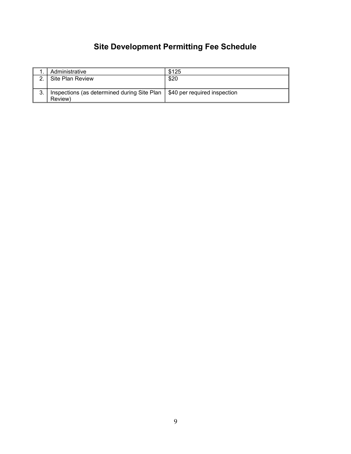# **Site Development Permitting Fee Schedule**

|   | Administrative                                                             | \$125 |
|---|----------------------------------------------------------------------------|-------|
| າ | Site Plan Review                                                           | \$20  |
|   |                                                                            |       |
| 3 | Inspections (as determined during Site Plan   \$40 per required inspection |       |
|   | Review)                                                                    |       |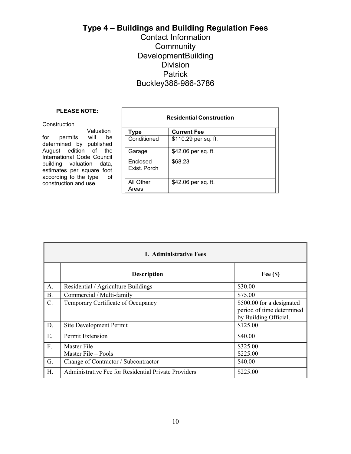## **Type 4 – Buildings and Building Regulation Fees**

### Contact Information **Community** DevelopmentBuilding Division **Patrick** Buckley386-986-3786

#### **PLEASE NOTE:**

#### **Construction**

Valuation for permits will be determined by published August edition of the International Code Council building valuation data, estimates per square foot according to the type of construction and use.

| <b>Residential Construction</b> |                      |  |  |
|---------------------------------|----------------------|--|--|
| <b>Type</b>                     | <b>Current Fee</b>   |  |  |
| Conditioned                     | \$110.29 per sq. ft. |  |  |
| Garage                          | \$42.06 per sq. ft.  |  |  |
| <b>Enclosed</b><br>Exist, Porch | \$68.23              |  |  |
| All Other<br>Areas              | \$42.06 per sq. ft.  |  |  |

| <b>I.</b> Administrative Fees |                                                      |                                                                                 |  |
|-------------------------------|------------------------------------------------------|---------------------------------------------------------------------------------|--|
|                               | <b>Description</b>                                   | Fee $(\$)$                                                                      |  |
| A.                            | Residential / Agriculture Buildings                  | \$30.00                                                                         |  |
| <b>B.</b>                     | Commercial / Multi-family                            | \$75.00                                                                         |  |
| C.                            | Temporary Certificate of Occupancy                   | \$500.00 for a designated<br>period of time determined<br>by Building Official. |  |
| D.                            | Site Development Permit                              | \$125.00                                                                        |  |
| E.                            | Permit Extension                                     | \$40.00                                                                         |  |
| F.                            | Master File<br>Master File - Pools                   | \$325.00<br>\$225.00                                                            |  |
| G.                            | Change of Contractor / Subcontractor                 | \$40.00                                                                         |  |
| H.                            | Administrative Fee for Residential Private Providers | \$225.00                                                                        |  |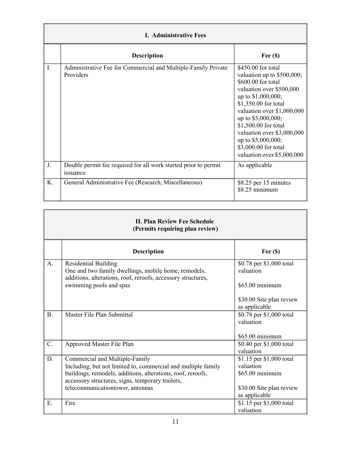| <b>I.</b> Administrative Fees |                                                                             |                                                                                                                                                                                                                                                                                                                                        |  |
|-------------------------------|-----------------------------------------------------------------------------|----------------------------------------------------------------------------------------------------------------------------------------------------------------------------------------------------------------------------------------------------------------------------------------------------------------------------------------|--|
|                               | <b>Description</b>                                                          | Fee $(\$)$                                                                                                                                                                                                                                                                                                                             |  |
| I.                            | Administrative Fee for Commercial and Multiple-Family Private<br>Providers  | \$450.00 for total<br>valuation up to \$500,000;<br>\$600.00 for total<br>valuation over \$500,000<br>up to \$1,000,000;<br>\$1,350.00 for total<br>valuation over \$1,000,000<br>up to \$3,000,000;<br>\$1,500.00 for total<br>valuation over \$3,000,000<br>up to \$5,000,000;<br>\$3,000.00 for total<br>valuation over \$5,000,000 |  |
| J.                            | Double permit fee required for all work started prior to permit<br>issuance | As applicable                                                                                                                                                                                                                                                                                                                          |  |
| K.                            | General Administrative Fee (Research, Miscellaneous)                        | \$8.25 per 15 minutes<br>\$8.25 minimum                                                                                                                                                                                                                                                                                                |  |

| <b>II. Plan Review Fee Schedule</b><br>(Permits requiring plan review) |                                                                                                                                                                                                                                                        |                                                                                                       |
|------------------------------------------------------------------------|--------------------------------------------------------------------------------------------------------------------------------------------------------------------------------------------------------------------------------------------------------|-------------------------------------------------------------------------------------------------------|
|                                                                        | <b>Description</b>                                                                                                                                                                                                                                     | Fee $(\$)$                                                                                            |
| A.                                                                     | <b>Residential Building</b><br>One and two family dwellings, mobile home, remodels,<br>additions, alterations, roof, reroofs, accessory structures,                                                                                                    | \$0.78 per \$1,000 total<br>valuation                                                                 |
|                                                                        | swimming pools and spas                                                                                                                                                                                                                                | \$65.00 minimum<br>\$30.00 Site plan review<br>as applicable                                          |
| <b>B.</b>                                                              | Master File Plan Submittal                                                                                                                                                                                                                             | \$0.78 per \$1,000 total<br>valuation<br>\$65.00 minimum                                              |
| C.                                                                     | Approved Master File Plan                                                                                                                                                                                                                              | \$0.40 per \$1,000 total<br>valuation                                                                 |
| D.                                                                     | Commercial and Multiple-Family<br>Including, but not limited to, commercial and multiple family<br>buildings, remodels, additions, alterations, roof, reroofs,<br>accessory structures, signs, temporary trailers,<br>telecommunicationtower, antennas | \$1.15 per \$1,000 total<br>valuation<br>\$65.00 minimum<br>\$30.00 Site plan review<br>as applicable |
| E.                                                                     | Fire                                                                                                                                                                                                                                                   | \$1.15 per \$1,000 total<br>valuation                                                                 |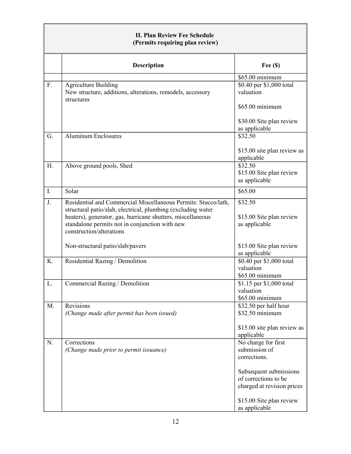| <b>II. Plan Review Fee Schedule</b><br>(Permits requiring plan review) |                                                                                                                                                                                                                                                                             |                                                                                 |
|------------------------------------------------------------------------|-----------------------------------------------------------------------------------------------------------------------------------------------------------------------------------------------------------------------------------------------------------------------------|---------------------------------------------------------------------------------|
|                                                                        | <b>Description</b>                                                                                                                                                                                                                                                          | Fee $(S)$                                                                       |
|                                                                        |                                                                                                                                                                                                                                                                             | $$65.00$ minimum                                                                |
| F.                                                                     | <b>Agriculture Building</b><br>New structure, additions, alterations, remodels, accessory<br>structures                                                                                                                                                                     | \$0.40 per \$1,000 total<br>valuation                                           |
|                                                                        |                                                                                                                                                                                                                                                                             | \$65.00 minimum<br>\$30.00 Site plan review<br>as applicable                    |
| G.                                                                     | <b>Aluminum Enclosures</b>                                                                                                                                                                                                                                                  | \$32.50                                                                         |
|                                                                        |                                                                                                                                                                                                                                                                             | \$15.00 site plan review as<br>applicable                                       |
| H.                                                                     | Above ground pools, Shed                                                                                                                                                                                                                                                    | \$32.50<br>\$15.00 Site plan review<br>as applicable                            |
| I.                                                                     | Solar                                                                                                                                                                                                                                                                       | \$65.00                                                                         |
| J.                                                                     | Residential and Commercial Miscellaneous Permits: Stucco/lath,<br>structural patio/slab, electrical, plumbing (excluding water<br>heaters), generator, gas, hurricane shutters, miscellaneous<br>standalone permits not in conjunction with new<br>construction/alterations | \$32.50<br>\$15.00 Site plan review<br>as applicable                            |
|                                                                        | Non-structural patio/slab/pavers                                                                                                                                                                                                                                            | \$15.00 Site plan review<br>as applicable                                       |
| K.                                                                     | Residential Razing / Demolition                                                                                                                                                                                                                                             | \$0.40 per \$1,000 total<br>valuation<br>\$65.00 minimum                        |
| L.                                                                     | Commercial Razing / Demolition                                                                                                                                                                                                                                              | \$1.15 per \$1,000 total<br>valuation<br>\$65.00 minimum                        |
| M.                                                                     | <b>Revisions</b><br>(Change made after permit has been issued)                                                                                                                                                                                                              | $\sqrt{$32.50}$ per half hour<br>\$32.50 minimum<br>\$15.00 site plan review as |
|                                                                        |                                                                                                                                                                                                                                                                             | applicable                                                                      |
| N.                                                                     | Corrections<br>(Change made prior to permit issuance)                                                                                                                                                                                                                       | No charge for first<br>submission of<br>corrections.                            |
|                                                                        |                                                                                                                                                                                                                                                                             | Subsequent submissions<br>of corrections to be<br>charged at revision prices    |
|                                                                        |                                                                                                                                                                                                                                                                             | \$15.00 Site plan review<br>as applicable                                       |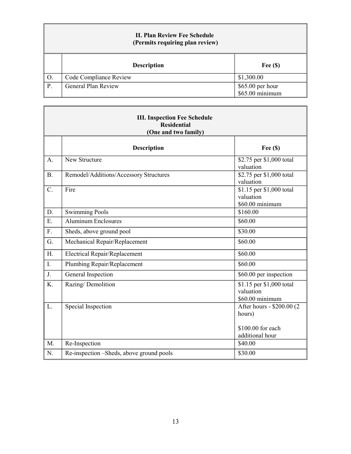| <b>II. Plan Review Fee Schedule</b><br>(Permits requiring plan review) |                            |                                     |
|------------------------------------------------------------------------|----------------------------|-------------------------------------|
|                                                                        | <b>Description</b>         | Fee $(\$)$                          |
| O.                                                                     | Code Compliance Review     | \$1,300.00                          |
| P.                                                                     | <b>General Plan Review</b> | \$65.00 per hour<br>\$65.00 minimum |

| <b>III. Inspection Fee Schedule</b><br><b>Residential</b><br>(One and two family) |                                          |                                                                              |
|-----------------------------------------------------------------------------------|------------------------------------------|------------------------------------------------------------------------------|
|                                                                                   | <b>Description</b>                       | Fee $(S)$                                                                    |
| A.                                                                                | New Structure                            | \$2.75 per \$1,000 total<br>valuation                                        |
| <b>B.</b>                                                                         | Remodel/Additions/Accessory Structures   | \$2.75 per \$1,000 total<br>valuation                                        |
| C.                                                                                | Fire                                     | \$1.15 per \$1,000 total<br>valuation<br>\$60.00 minimum                     |
| D.                                                                                | <b>Swimming Pools</b>                    | \$160.00                                                                     |
| Ε.                                                                                | <b>Aluminum Enclosures</b>               | \$60.00                                                                      |
| F.                                                                                | Sheds, above ground pool                 | \$30.00                                                                      |
| G.                                                                                | Mechanical Repair/Replacement            | \$60.00                                                                      |
| H.                                                                                | <b>Electrical Repair/Replacement</b>     | \$60.00                                                                      |
| $\mathbf{I}$ .                                                                    | Plumbing Repair/Replacement              | \$60.00                                                                      |
| J.                                                                                | General Inspection                       | \$60.00 per inspection                                                       |
| K.                                                                                | Razing/Demolition                        | \$1.15 per \$1,000 total<br>valuation<br>\$60.00 minimum                     |
| L.                                                                                | Special Inspection                       | After hours - \$200.00 (2)<br>hours)<br>\$100.00 for each<br>additional hour |
| M.                                                                                | Re-Inspection                            | \$40.00                                                                      |
| N.                                                                                | Re-inspection -Sheds, above ground pools | \$30.00                                                                      |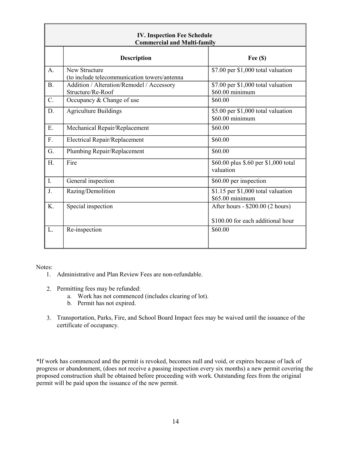| <b>IV. Inspection Fee Schedule</b><br><b>Commercial and Multi-family</b> |                                                                |                                                                       |
|--------------------------------------------------------------------------|----------------------------------------------------------------|-----------------------------------------------------------------------|
|                                                                          | <b>Description</b>                                             | Fee $(\$)$                                                            |
| A.                                                                       | New Structure<br>(to include telecommunication towers/antenna  | \$7.00 per \$1,000 total valuation                                    |
| <b>B.</b>                                                                | Addition / Alteration/Remodel / Accessory<br>Structure/Re-Roof | \$7.00 per \$1,000 total valuation<br>\$60.00 minimum                 |
| $\mathcal{C}$ .                                                          | Occupancy & Change of use                                      | \$60.00                                                               |
| D.                                                                       | <b>Agriculture Buildings</b>                                   | \$5.00 per \$1,000 total valuation<br>\$60.00 minimum                 |
| E.                                                                       | Mechanical Repair/Replacement                                  | \$60.00                                                               |
| F.                                                                       | <b>Electrical Repair/Replacement</b>                           | \$60.00                                                               |
| G.                                                                       | Plumbing Repair/Replacement                                    | \$60.00                                                               |
| H.                                                                       | Fire                                                           | \$60.00 plus \$.60 per \$1,000 total<br>valuation                     |
| $\overline{I}$ .                                                         | General inspection                                             | \$60.00 per inspection                                                |
| J.                                                                       | Razing/Demolition                                              | $$1.15$ per $$1,000$ total valuation<br>\$65.00 minimum               |
| K.                                                                       | Special inspection                                             | After hours - \$200.00 (2 hours)<br>\$100.00 for each additional hour |
| L.                                                                       | Re-inspection                                                  | \$60.00                                                               |

Notes:

- 1. Administrative and Plan Review Fees are non-refundable.
- 2. Permitting fees may be refunded:
	- a. Work has not commenced (includes clearing of lot).
	- b. Permit has not expired.
- 3. Transportation, Parks, Fire, and School Board Impact fees may be waived until the issuance of the certificate of occupancy.

\*If work has commenced and the permit is revoked, becomes null and void, or expires because of lack of progress or abandonment, (does not receive a passing inspection every six months) a new permit covering the proposed construction shall be obtained before proceeding with work. Outstanding fees from the original permit will be paid upon the issuance of the new permit.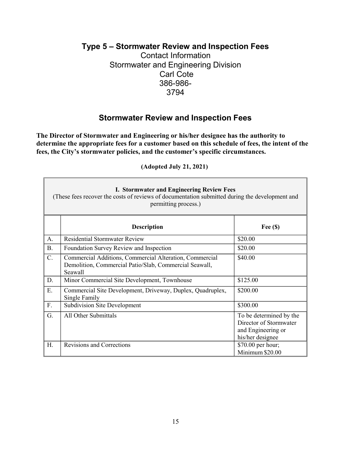#### **Type 5 – Stormwater Review and Inspection Fees**

Contact Information Stormwater and Engineering Division Carl Cote 386-986- [3794](mailto:Engineering%26Stormwater@palmcoastgov.com)

## **Stormwater Review and Inspection Fees**

**The Director of Stormwater and Engineering or his/her designee has the authority to determine the appropriate fees for a customer based on this schedule of fees, the intent of the fees, the City's stormwater policies, and the customer's specific circumstances.**

| <b>I. Stormwater and Engineering Review Fees</b><br>(These fees recover the costs of reviews of documentation submitted during the development and<br>permitting process.) |                                                                                                                              |                                                                                             |
|----------------------------------------------------------------------------------------------------------------------------------------------------------------------------|------------------------------------------------------------------------------------------------------------------------------|---------------------------------------------------------------------------------------------|
|                                                                                                                                                                            | <b>Description</b>                                                                                                           | Fee $(\$)$                                                                                  |
| A.                                                                                                                                                                         | <b>Residential Stormwater Review</b>                                                                                         | \$20.00                                                                                     |
| <b>B.</b>                                                                                                                                                                  | Foundation Survey Review and Inspection                                                                                      | \$20.00                                                                                     |
| C.                                                                                                                                                                         | Commercial Additions, Commercial Alteration, Commercial<br>Demolition, Commercial Patio/Slab, Commercial Seawall,<br>Seawall | \$40.00                                                                                     |
| D.                                                                                                                                                                         | Minor Commercial Site Development, Townhouse                                                                                 | \$125.00                                                                                    |
| E.                                                                                                                                                                         | Commercial Site Development, Driveway, Duplex, Quadruplex,<br>Single Family                                                  | \$200.00                                                                                    |
| F.                                                                                                                                                                         | <b>Subdivision Site Development</b>                                                                                          | \$300.00                                                                                    |
| G.                                                                                                                                                                         | All Other Submittals                                                                                                         | To be determined by the<br>Director of Stormwater<br>and Engineering or<br>his/her designee |
| H.                                                                                                                                                                         | <b>Revisions and Corrections</b>                                                                                             | \$70.00 per hour;<br>Minimum \$20.00                                                        |

**(Adopted July 21, 2021)**